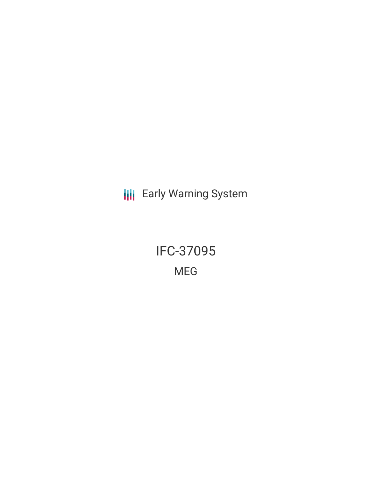**III** Early Warning System

IFC-37095 MEG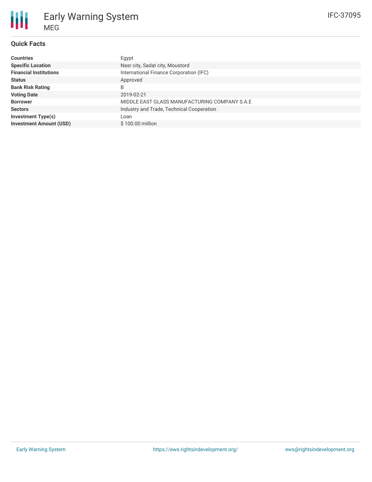# **Quick Facts**

| <b>Countries</b>               | Egypt                                         |
|--------------------------------|-----------------------------------------------|
| <b>Specific Location</b>       | Nasr city, Sadat city, Moustord               |
| <b>Financial Institutions</b>  | International Finance Corporation (IFC)       |
| <b>Status</b>                  | Approved                                      |
| <b>Bank Risk Rating</b>        | B                                             |
| <b>Voting Date</b>             | 2019-02-21                                    |
| <b>Borrower</b>                | MIDDLE EAST GLASS MANUFACTURING COMPANY S.A.E |
| <b>Sectors</b>                 | Industry and Trade, Technical Cooperation     |
| <b>Investment Type(s)</b>      | Loan                                          |
| <b>Investment Amount (USD)</b> | \$100.00 million                              |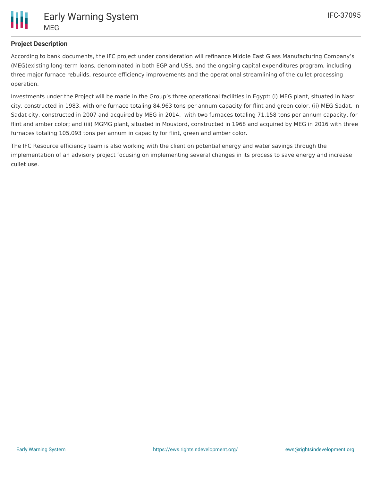

## **Project Description**

According to bank documents, the IFC project under consideration will refinance Middle East Glass Manufacturing Company's (MEG)existing long-term loans, denominated in both EGP and US\$, and the ongoing capital expenditures program, including three major furnace rebuilds, resource efficiency improvements and the operational streamlining of the cullet processing operation.

Investments under the Project will be made in the Group's three operational facilities in Egypt: (i) MEG plant, situated in Nasr city, constructed in 1983, with one furnace totaling 84,963 tons per annum capacity for flint and green color, (ii) MEG Sadat, in Sadat city, constructed in 2007 and acquired by MEG in 2014, with two furnaces totaling 71,158 tons per annum capacity, for flint and amber color; and (iii) MGMG plant, situated in Moustord, constructed in 1968 and acquired by MEG in 2016 with three furnaces totaling 105,093 tons per annum in capacity for flint, green and amber color.

The IFC Resource efficiency team is also working with the client on potential energy and water savings through the implementation of an advisory project focusing on implementing several changes in its process to save energy and increase cullet use.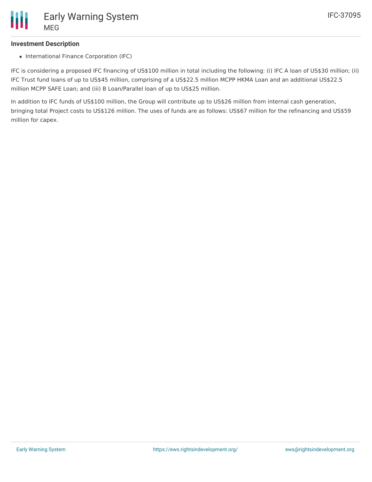### **Investment Description**

• International Finance Corporation (IFC)

IFC is considering a proposed IFC financing of US\$100 million in total including the following: (i) IFC A loan of US\$30 million; (ii) IFC Trust fund loans of up to US\$45 million, comprising of a US\$22.5 million MCPP HKMA Loan and an additional US\$22.5 million MCPP SAFE Loan; and (iii) B Loan/Parallel loan of up to US\$25 million.

In addition to IFC funds of US\$100 million, the Group will contribute up to US\$26 million from internal cash generation, bringing total Project costs to US\$126 million. The uses of funds are as follows: US\$67 million for the refinancing and US\$59 million for capex.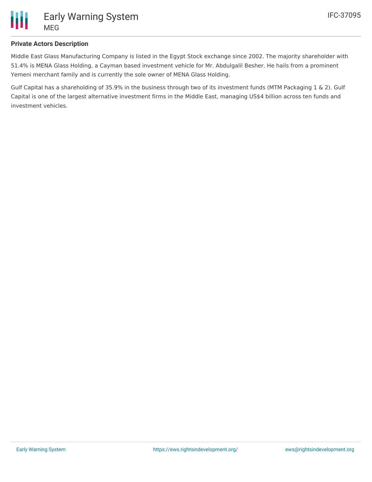

### **Private Actors Description**

Middle East Glass Manufacturing Company is listed in the Egypt Stock exchange since 2002. The majority shareholder with 51.4% is MENA Glass Holding, a Cayman based investment vehicle for Mr. Abdulgalil Besher. He hails from a prominent Yemeni merchant family and is currently the sole owner of MENA Glass Holding.

Gulf Capital has a shareholding of 35.9% in the business through two of its investment funds (MTM Packaging 1 & 2). Gulf Capital is one of the largest alternative investment firms in the Middle East, managing US\$4 billion across ten funds and investment vehicles.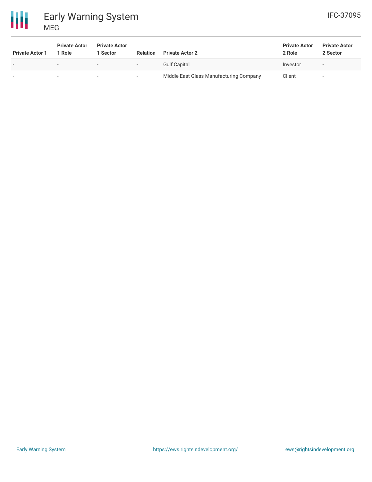



| <b>Private Actor 1</b>   | <b>Private Actor</b><br>1 Role | <b>Private Actor</b><br><b>Sector</b> | <b>Relation</b>          | <b>Private Actor 2</b>                  | <b>Private Actor</b><br>2 Role | <b>Private Actor</b><br>2 Sector |
|--------------------------|--------------------------------|---------------------------------------|--------------------------|-----------------------------------------|--------------------------------|----------------------------------|
| $\overline{\phantom{a}}$ | $\overline{\phantom{0}}$       | $\overline{\phantom{0}}$              | $\overline{\phantom{a}}$ | <b>Gulf Capital</b>                     | Investor                       |                                  |
| $\overline{\phantom{0}}$ | $\overline{\phantom{0}}$       | $\overline{\phantom{a}}$              | $\overline{\phantom{a}}$ | Middle East Glass Manufacturing Company | Client                         |                                  |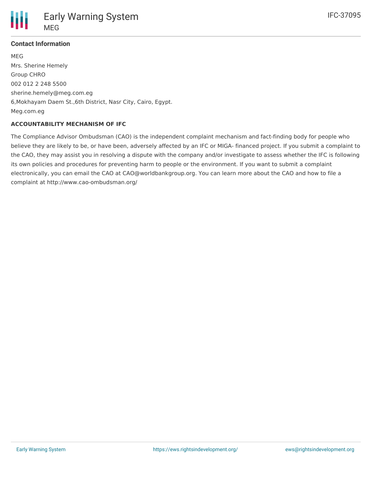

## **Contact Information**

MEG Mrs. Sherine Hemely Group CHRO 002 012 2 248 5500 sherine.hemely@meg.com.eg 6,Mokhayam Daem St.,6th District, Nasr City, Cairo, Egypt. Meg.com.eg

#### **ACCOUNTABILITY MECHANISM OF IFC**

The Compliance Advisor Ombudsman (CAO) is the independent complaint mechanism and fact-finding body for people who believe they are likely to be, or have been, adversely affected by an IFC or MIGA- financed project. If you submit a complaint to the CAO, they may assist you in resolving a dispute with the company and/or investigate to assess whether the IFC is following its own policies and procedures for preventing harm to people or the environment. If you want to submit a complaint electronically, you can email the CAO at CAO@worldbankgroup.org. You can learn more about the CAO and how to file a complaint at http://www.cao-ombudsman.org/